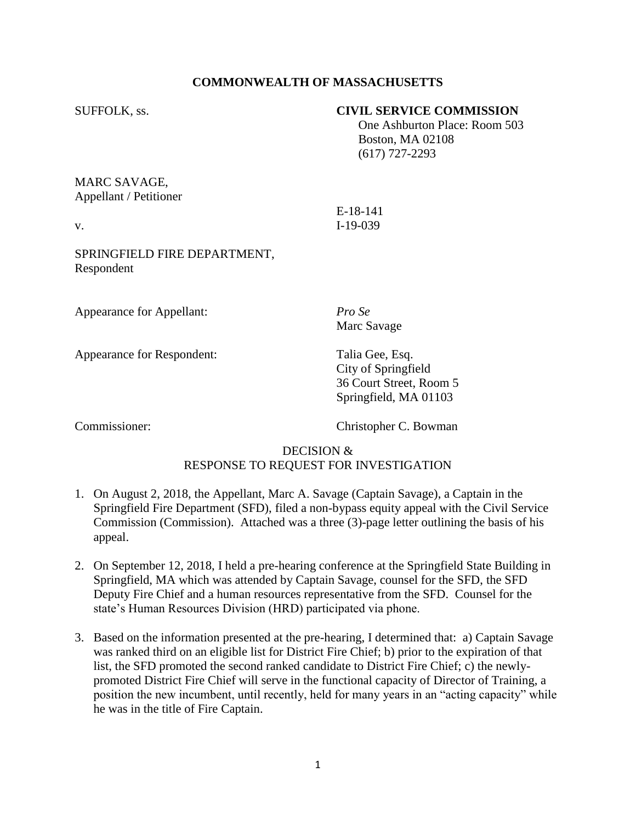## **COMMONWEALTH OF MASSACHUSETTS**

## SUFFOLK, ss. **CIVIL SERVICE COMMISSION**

 One Ashburton Place: Room 503 Boston, MA 02108 (617) 727-2293

MARC SAVAGE, Appellant / Petitioner

E-18-141 v. I-19-039

SPRINGFIELD FIRE DEPARTMENT, Respondent

Appearance for Appellant: *Pro Se*

Appearance for Respondent: Talia Gee, Esq.

Marc Savage

City of Springfield 36 Court Street, Room 5 Springfield, MA 01103

Commissioner: Christopher C. Bowman

# DECISION & RESPONSE TO REQUEST FOR INVESTIGATION

- 1. On August 2, 2018, the Appellant, Marc A. Savage (Captain Savage), a Captain in the Springfield Fire Department (SFD), filed a non-bypass equity appeal with the Civil Service Commission (Commission). Attached was a three (3)-page letter outlining the basis of his appeal.
- 2. On September 12, 2018, I held a pre-hearing conference at the Springfield State Building in Springfield, MA which was attended by Captain Savage, counsel for the SFD, the SFD Deputy Fire Chief and a human resources representative from the SFD. Counsel for the state's Human Resources Division (HRD) participated via phone.
- 3. Based on the information presented at the pre-hearing, I determined that: a) Captain Savage was ranked third on an eligible list for District Fire Chief; b) prior to the expiration of that list, the SFD promoted the second ranked candidate to District Fire Chief; c) the newlypromoted District Fire Chief will serve in the functional capacity of Director of Training, a position the new incumbent, until recently, held for many years in an "acting capacity" while he was in the title of Fire Captain.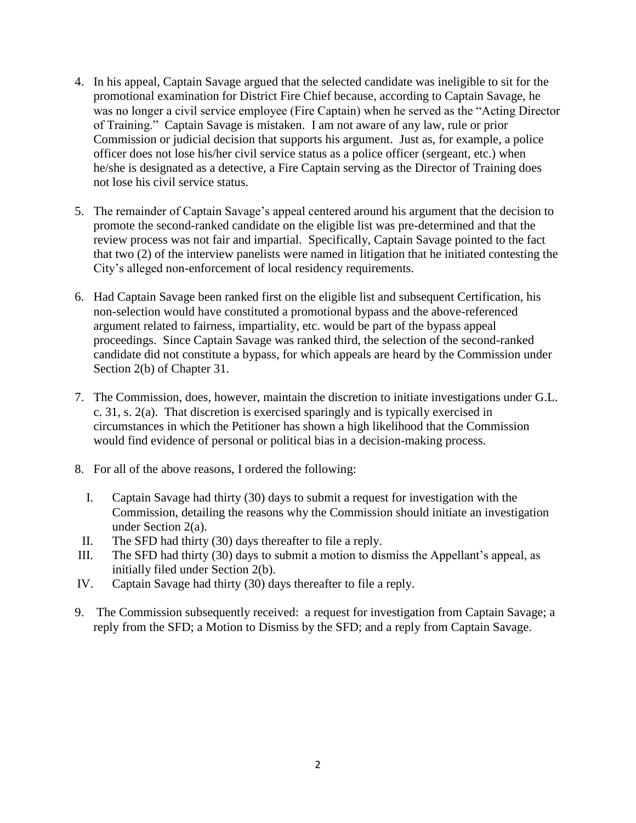- 4. In his appeal, Captain Savage argued that the selected candidate was ineligible to sit for the promotional examination for District Fire Chief because, according to Captain Savage, he was no longer a civil service employee (Fire Captain) when he served as the "Acting Director of Training." Captain Savage is mistaken. I am not aware of any law, rule or prior Commission or judicial decision that supports his argument. Just as, for example, a police officer does not lose his/her civil service status as a police officer (sergeant, etc.) when he/she is designated as a detective, a Fire Captain serving as the Director of Training does not lose his civil service status.
- 5. The remainder of Captain Savage's appeal centered around his argument that the decision to promote the second-ranked candidate on the eligible list was pre-determined and that the review process was not fair and impartial. Specifically, Captain Savage pointed to the fact that two (2) of the interview panelists were named in litigation that he initiated contesting the City's alleged non-enforcement of local residency requirements.
- 6. Had Captain Savage been ranked first on the eligible list and subsequent Certification, his non-selection would have constituted a promotional bypass and the above-referenced argument related to fairness, impartiality, etc. would be part of the bypass appeal proceedings. Since Captain Savage was ranked third, the selection of the second-ranked candidate did not constitute a bypass, for which appeals are heard by the Commission under Section 2(b) of Chapter 31.
- 7. The Commission, does, however, maintain the discretion to initiate investigations under G.L. c. 31, s. 2(a). That discretion is exercised sparingly and is typically exercised in circumstances in which the Petitioner has shown a high likelihood that the Commission would find evidence of personal or political bias in a decision-making process.
- 8. For all of the above reasons, I ordered the following:
	- I. Captain Savage had thirty (30) days to submit a request for investigation with the Commission, detailing the reasons why the Commission should initiate an investigation under Section 2(a).
- II. The SFD had thirty (30) days thereafter to file a reply.
- III. The SFD had thirty (30) days to submit a motion to dismiss the Appellant's appeal, as initially filed under Section 2(b).
- IV. Captain Savage had thirty (30) days thereafter to file a reply.
- 9. The Commission subsequently received: a request for investigation from Captain Savage; a reply from the SFD; a Motion to Dismiss by the SFD; and a reply from Captain Savage.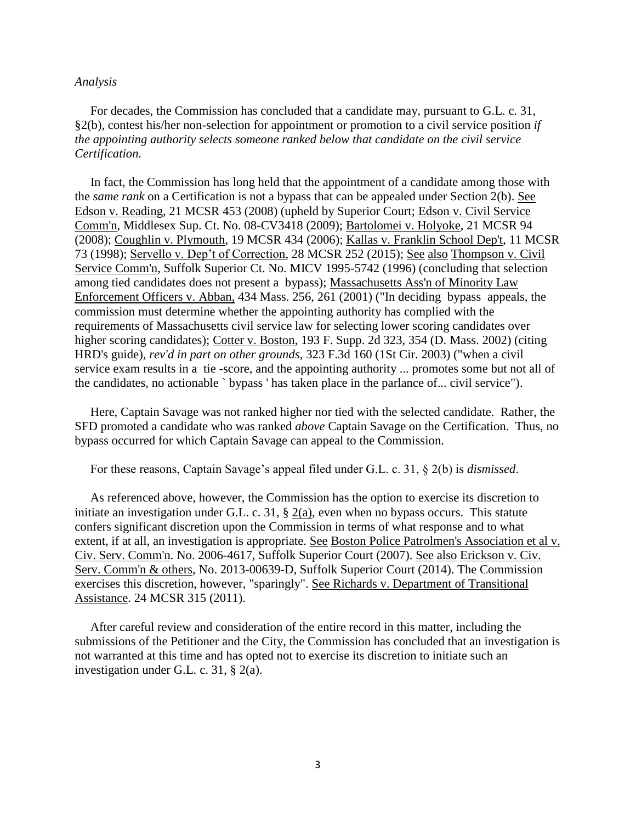#### *Analysis*

 For decades, the Commission has concluded that a candidate may, pursuant to G.L. c. 31, §2(b), contest his/her non-selection for appointment or promotion to a civil service position *if the appointing authority selects someone ranked below that candidate on the civil service Certification.* 

 In fact, the Commission has long held that the appointment of a candidate among those with the *same rank* on a Certification is not a bypass that can be appealed under Section 2(b). See Edson v. Reading, 21 MCSR 453 (2008) (upheld by Superior Court; Edson v. Civil Service Comm'n, Middlesex Sup. Ct. No. 08-CV3418 (2009); Bartolomei v. Holyoke, 21 MCSR 94 (2008); Coughlin v. Plymouth, 19 MCSR 434 (2006); Kallas v. Franklin School Dep't, 11 MCSR 73 (1998); Servello v. Dep't of Correction, 28 MCSR 252 (2015); See also Thompson v. Civil Service Comm'n, Suffolk Superior Ct. No. MICV 1995-5742 (1996) (concluding that selection among tied candidates does not present a bypass); Massachusetts Ass'n of Minority Law Enforcement Officers v. Abban, 434 Mass. 256, 261 (2001) ("In deciding bypass appeals, the commission must determine whether the appointing authority has complied with the requirements of Massachusetts civil service law for selecting lower scoring candidates over higher scoring candidates); Cotter v. Boston, 193 F. Supp. 2d 323, 354 (D. Mass. 2002) (citing HRD's guide), *rev'd in part on other grounds*, 323 F.3d 160 (1St Cir. 2003) ("when a civil service exam results in a tie -score, and the appointing authority ... promotes some but not all of the candidates, no actionable ` bypass ' has taken place in the parlance of... civil service").

 Here, Captain Savage was not ranked higher nor tied with the selected candidate. Rather, the SFD promoted a candidate who was ranked *above* Captain Savage on the Certification. Thus, no bypass occurred for which Captain Savage can appeal to the Commission.

For these reasons, Captain Savage's appeal filed under G.L. c. 31, § 2(b) is *dismissed*.

 As referenced above, however, the Commission has the option to exercise its discretion to initiate an investigation under G.L. c. 31, § 2(a), even when no bypass occurs. This statute confers significant discretion upon the Commission in terms of what response and to what extent, if at all, an investigation is appropriate. See Boston Police Patrolmen's Association et al v. Civ. Serv. Comm'n. No. 2006-4617, Suffolk Superior Court (2007). See also Erickson v. Civ. Serv. Comm'n & others, No. 2013-00639-D, Suffolk Superior Court (2014). The Commission exercises this discretion, however, "sparingly". See Richards v. Department of Transitional Assistance. 24 MCSR 315 (2011).

 After careful review and consideration of the entire record in this matter, including the submissions of the Petitioner and the City, the Commission has concluded that an investigation is not warranted at this time and has opted not to exercise its discretion to initiate such an investigation under G.L. c. 31, § 2(a).